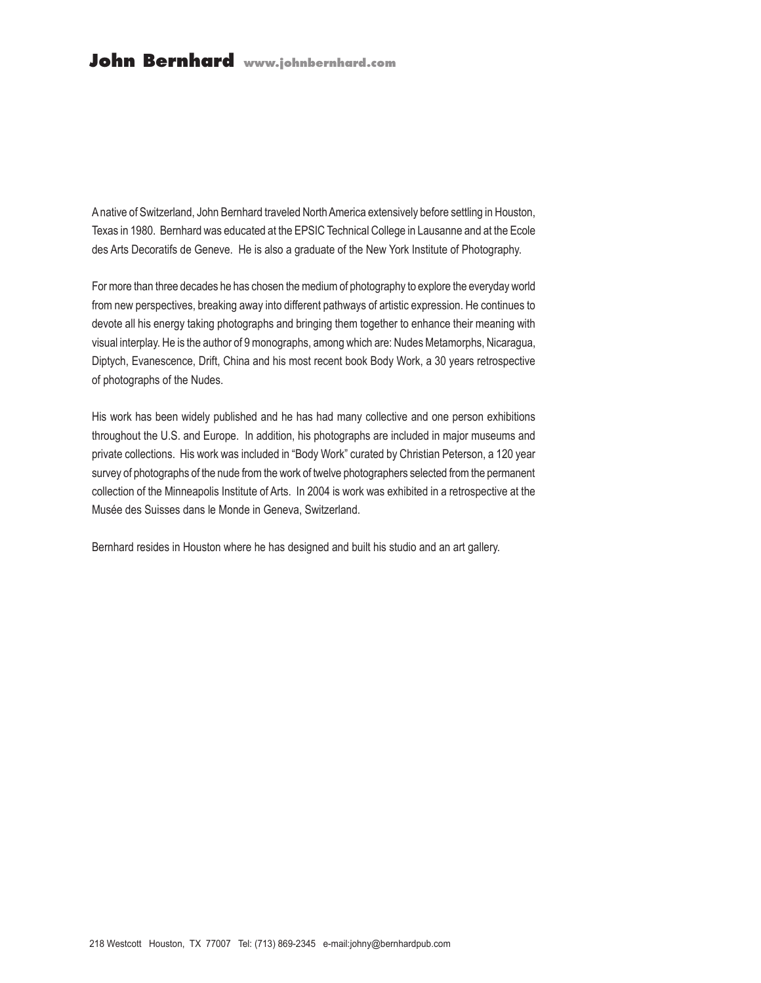A native of Switzerland, John Bernhard traveled North America extensively before settling in Houston, Texas in 1980. Bernhard was educated at the EPSIC Technical College in Lausanne and at the Ecole des Arts Decoratifs de Geneve. He is also a graduate of the New York Institute of Photography.

For more than three decades he has chosen the medium of photography to explore the everyday world from new perspectives, breaking away into different pathways of artistic expression. He continues to devote all his energy taking photographs and bringing them together to enhance their meaning with visual interplay. He is the author of 9 monographs, among which are: Nudes Metamorphs, Nicaragua, Diptych, Evanescence, Drift, China and his most recent book Body Work, a 30 years retrospective of photographs of the Nudes.

His work has been widely published and he has had many collective and one person exhibitions throughout the U.S. and Europe. In addition, his photographs are included in major museums and private collections. His work was included in "Body Work" curated by Christian Peterson, a 120 year survey of photographs of the nude from the work of twelve photographers selected from the permanent collection of the Minneapolis Institute of Arts. In 2004 is work was exhibited in a retrospective at the Musée des Suisses dans le Monde in Geneva, Switzerland.

Bernhard resides in Houston where he has designed and built his studio and an art gallery.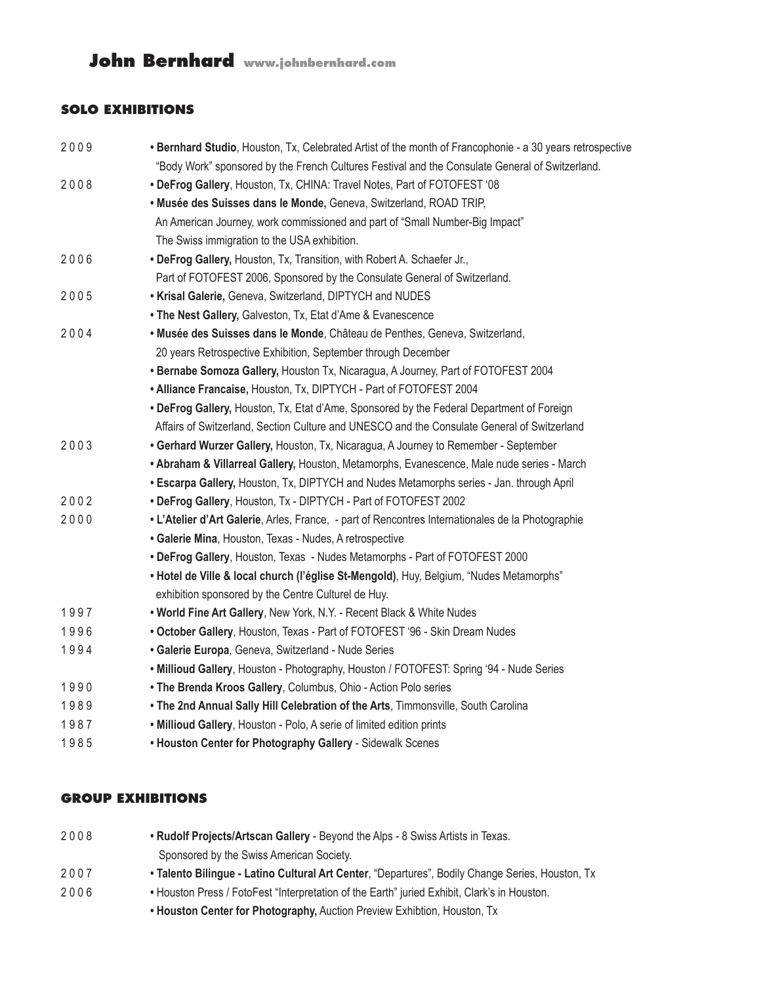## **SOLO EXHIBITIONS**

| 2009 | . Bernhard Studio, Houston, Tx, Celebrated Artist of the month of Francophonie - a 30 years retrospective |
|------|-----------------------------------------------------------------------------------------------------------|
|      | "Body Work" sponsored by the French Cultures Festival and the Consulate General of Switzerland.           |
| 2008 | . DeFrog Gallery, Houston, Tx, CHINA: Travel Notes, Part of FOTOFEST '08                                  |
|      | · Musée des Suisses dans le Monde, Geneva, Switzerland, ROAD TRIP,                                        |
|      | An American Journey, work commissioned and part of "Small Number-Big Impact"                              |
|      | The Swiss immigration to the USA exhibition.                                                              |
| 2006 | . DeFrog Gallery, Houston, Tx, Transition, with Robert A. Schaefer Jr.,                                   |
|      | Part of FOTOFEST 2006, Sponsored by the Consulate General of Switzerland.                                 |
| 2005 | . Krisal Galerie, Geneva, Switzerland, DIPTYCH and NUDES                                                  |
|      | . The Nest Gallery, Galveston, Tx, Etat d'Ame & Evanescence                                               |
| 2004 | · Musée des Suisses dans le Monde, Château de Penthes, Geneva, Switzerland,                               |
|      | 20 years Retrospective Exhibition, September through December                                             |
|      | • Bernabe Somoza Gallery, Houston Tx, Nicaragua, A Journey, Part of FOTOFEST 2004                         |
|      | • Alliance Francaise, Houston, Tx, DIPTYCH - Part of FOTOFEST 2004                                        |
|      | . DeFrog Gallery, Houston, Tx, Etat d'Ame, Sponsored by the Federal Department of Foreign                 |
|      | Affairs of Switzerland, Section Culture and UNESCO and the Consulate General of Switzerland               |
| 2003 | • Gerhard Wurzer Gallery, Houston, Tx, Nicaragua, A Journey to Remember - September                       |
|      | . Abraham & Villarreal Gallery, Houston, Metamorphs, Evanescence, Male nude series - March                |
|      | • Escarpa Gallery, Houston, Tx, DIPTYCH and Nudes Metamorphs series - Jan. through April                  |
| 2002 | • DeFrog Gallery, Houston, Tx - DIPTYCH - Part of FOTOFEST 2002                                           |
| 2000 | • L'Atelier d'Art Galerie, Arles, France, - part of Rencontres Internationales de la Photographie         |
|      | • Galerie Mina, Houston, Texas - Nudes, A retrospective                                                   |
|      | • DeFrog Gallery, Houston, Texas - Nudes Metamorphs - Part of FOTOFEST 2000                               |
|      | • Hotel de Ville & local church (l'église St-Mengold), Huy, Belgium, "Nudes Metamorphs"                   |
|      | exhibition sponsored by the Centre Culturel de Huy.                                                       |
| 1997 | . World Fine Art Gallery, New York, N.Y. - Recent Black & White Nudes                                     |
| 1996 | . October Gallery, Houston, Texas - Part of FOTOFEST '96 - Skin Dream Nudes                               |
| 1994 | · Galerie Europa, Geneva, Switzerland - Nude Series                                                       |
|      | . Millioud Gallery, Houston - Photography, Houston / FOTOFEST: Spring '94 - Nude Series                   |
| 1990 | . The Brenda Kroos Gallery, Columbus, Ohio - Action Polo series                                           |
| 1989 | . The 2nd Annual Sally Hill Celebration of the Arts, Timmonsville, South Carolina                         |
| 1987 | . Millioud Gallery, Houston - Polo, A serie of limited edition prints                                     |
| 1985 | . Houston Center for Photography Gallery - Sidewalk Scenes                                                |
|      |                                                                                                           |

### **GROUP EXHIBITIONS**

| 2008 | . Rudolf Projects/Artscan Gallery - Beyond the Alps - 8 Swiss Artists in Texas.                  |
|------|--------------------------------------------------------------------------------------------------|
|      | Sponsored by the Swiss American Society.                                                         |
| 2007 | • Talento Bilingue - Latino Cultural Art Center, "Departures", Bodily Change Series, Houston, Tx |
| 2006 | . Houston Press / FotoFest "Interpretation of the Earth" juried Exhibit, Clark's in Houston.     |
|      | • Houston Center for Photography, Auction Preview Exhibtion, Houston, Tx                         |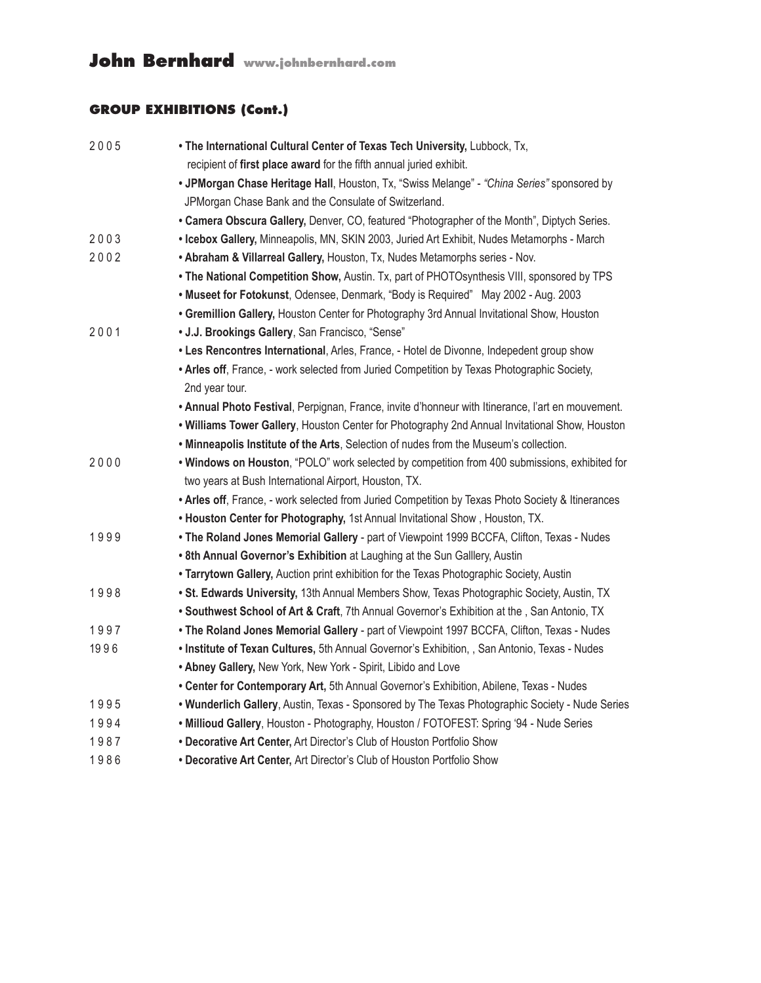## **GROUP EXHIBITIONS (Cont.)**

| 2005 | . The International Cultural Center of Texas Tech University, Lubbock, Tx,                        |
|------|---------------------------------------------------------------------------------------------------|
|      | recipient of first place award for the fifth annual juried exhibit.                               |
|      | . JPMorgan Chase Heritage Hall, Houston, Tx, "Swiss Melange" - "China Series" sponsored by        |
|      | JPMorgan Chase Bank and the Consulate of Switzerland.                                             |
|      | . Camera Obscura Gallery, Denver, CO, featured "Photographer of the Month", Diptych Series.       |
| 2003 | • Icebox Gallery, Minneapolis, MN, SKIN 2003, Juried Art Exhibit, Nudes Metamorphs - March        |
| 2002 | . Abraham & Villarreal Gallery, Houston, Tx, Nudes Metamorphs series - Nov.                       |
|      | . The National Competition Show, Austin. Tx, part of PHOTOsynthesis VIII, sponsored by TPS        |
|      | . Museet for Fotokunst, Odensee, Denmark, "Body is Required" May 2002 - Aug. 2003                 |
|      | • Gremillion Gallery, Houston Center for Photography 3rd Annual Invitational Show, Houston        |
| 2001 | • J.J. Brookings Gallery, San Francisco, "Sense"                                                  |
|      | • Les Rencontres International, Arles, France, - Hotel de Divonne, Indepedent group show          |
|      | . Arles off, France, - work selected from Juried Competition by Texas Photographic Society,       |
|      | 2nd year tour.                                                                                    |
|      | . Annual Photo Festival, Perpignan, France, invite d'honneur with Itinerance, l'art en mouvement. |
|      | . Williams Tower Gallery, Houston Center for Photography 2nd Annual Invitational Show, Houston    |
|      | . Minneapolis Institute of the Arts, Selection of nudes from the Museum's collection.             |
| 2000 | . Windows on Houston, "POLO" work selected by competition from 400 submissions, exhibited for     |
|      | two years at Bush International Airport, Houston, TX.                                             |
|      | . Arles off, France, - work selected from Juried Competition by Texas Photo Society & Itinerances |
|      | . Houston Center for Photography, 1st Annual Invitational Show, Houston, TX.                      |
| 1999 | . The Roland Jones Memorial Gallery - part of Viewpoint 1999 BCCFA, Clifton, Texas - Nudes        |
|      | . 8th Annual Governor's Exhibition at Laughing at the Sun Galllery, Austin                        |
|      | . Tarrytown Gallery, Auction print exhibition for the Texas Photographic Society, Austin          |
| 1998 | . St. Edwards University, 13th Annual Members Show, Texas Photographic Society, Austin, TX        |
|      | . Southwest School of Art & Craft, 7th Annual Governor's Exhibition at the, San Antonio, TX       |
| 1997 | . The Roland Jones Memorial Gallery - part of Viewpoint 1997 BCCFA, Clifton, Texas - Nudes        |
| 1996 | . Institute of Texan Cultures, 5th Annual Governor's Exhibition, , San Antonio, Texas - Nudes     |
|      | . Abney Gallery, New York, New York - Spirit, Libido and Love                                     |
|      | • Center for Contemporary Art, 5th Annual Governor's Exhibition, Abilene, Texas - Nudes           |
| 1995 | . Wunderlich Gallery, Austin, Texas - Sponsored by The Texas Photographic Society - Nude Series   |
| 1994 | . Millioud Gallery, Houston - Photography, Houston / FOTOFEST: Spring '94 - Nude Series           |
| 1987 | • Decorative Art Center, Art Director's Club of Houston Portfolio Show                            |
| 1986 | • Decorative Art Center, Art Director's Club of Houston Portfolio Show                            |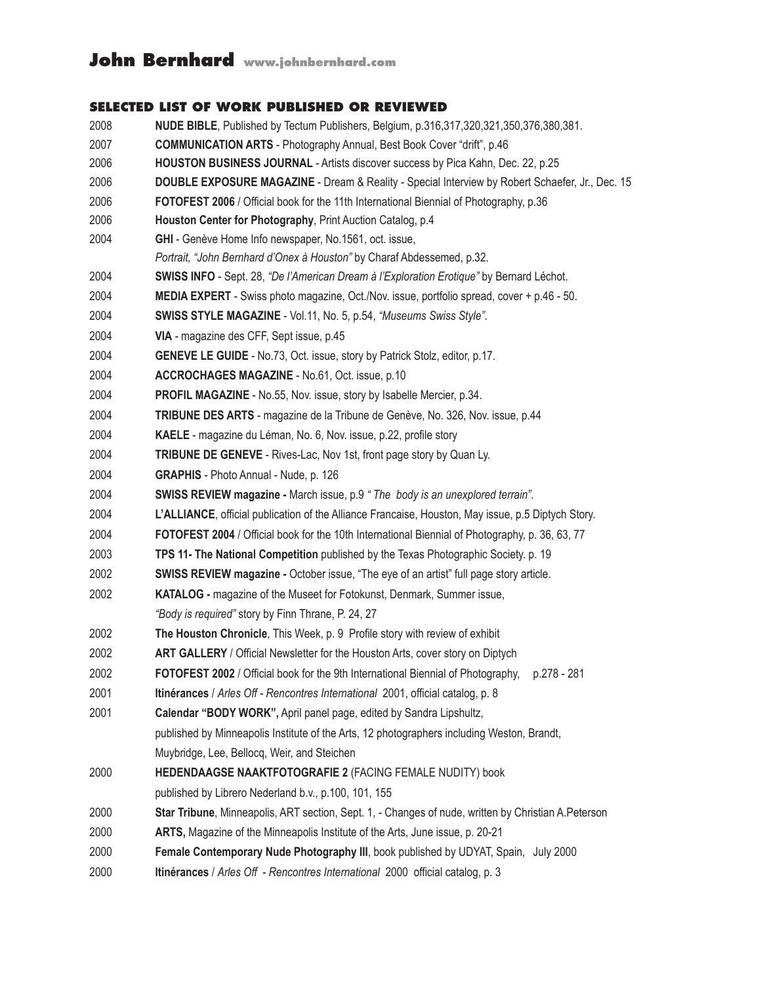#### **SELECTED LIST OF WORK PUBLISHED OR REVIEWED**

- **NUDE BIBLE**, Published by Tectum Publishers, Belgium, p.316,317,320,321,350,376,380,381. **COMMUNICATION ARTS** - Photography Annual, Best Book Cover "drift", p.46 **HOUSTON BUSINESS JOURNAL** - Artists discover success by Pica Kahn, Dec. 22, p.25 **DOUBLE EXPOSURE MAGAZINE** - Dream & Reality - Special Interview by Robert Schaefer, Jr., Dec. 15 **FOTOFEST 2006** / Official book for the 11th International Biennial of Photography, p.36 **Houston Center for Photography**, Print Auction Catalog, p.4 **GHI** - Genève Home Info newspaper, No.1561, oct. issue,  *Portrait, "John Bernhard d'Onex à Houston"* by Charaf Abdessemed, p.32. **Swiss info** - Sept. 28, *"De l'American Dream à l'Exploration Erotique"* by Bernard Léchot. **Media expert** - Swiss photo magazine, Oct./Nov. issue, portfolio spread, cover + p.46 - 50. **swiss style MAGAZINE** - Vol.11, No. 5, p.54, *"Museums Swiss Style"*. **via** - magazine des CFF, Sept issue, p.45 **Geneve le guide** - No.73, Oct. issue, story by Patrick Stolz, editor, p.17. **Accrochages Magazine** - No.61, Oct. issue, p.10 **Profil Magazine** - No.55, Nov. issue, story by Isabelle Mercier, p.34. **Tribune des Arts** - magazine de la Tribune de Genève, No. 326, Nov. issue, p.44 **KAELE** - magazine du Léman, No. 6, Nov. issue, p.22, profile story **Tribune de Geneve** - Rives-Lac, Nov 1st, front page story by Quan Ly. **GRAPHIS** - Photo Annual - Nude, p. 126  **SWISS REVIEW magazine -** March issue, p.9 *" The body is an unexplored terrain"*. **L'Alliance**, official publication of the Alliance Francaise, Houston, May issue, p.5 Diptych Story. **FOTOFEST 2004** / Official book for the 10th International Biennial of Photography, p. 36, 63, 77 **TPS 11- The National Competition** published by the Texas Photographic Society. p. 19 **SWISS REVIEW magazine -** October issue, "The eye of an artist" full page story article. **KATALOG -** magazine of the Museet for Fotokunst, Denmark, Summer issue, *"Body is required"* story by Finn Thrane, P. 24, 27 **The Houston Chronicle**, This Week, p. 9 Profile story with review of exhibit **ART GALLERY** / Official Newsletter for the Houston Arts, cover story on Diptych **FOTOFEST 2002** / Official book for the 9th International Biennial of Photography, p.278 - 281 **Itinérances** / *Arles Off - Rencontres International* 2001, official catalog, p. 8 **Calendar "BODY WORK",** April panel page, edited by Sandra Lipshultz, published by Minneapolis Institute of the Arts, 12 photographers including Weston, Brandt, Muybridge, Lee, Bellocq, Weir, and Steichen **HEDENDAAGSE NAAKTFOTOGRAFIE 2** (FACING FEMALE NUDITY) book published by Librero Nederland b.v., p.100, 101, 155 **Star Tribune**, Minneapolis, ART section, Sept. 1, - Changes of nude, written by Christian A.Peterson **ARTS,** Magazine of the Minneapolis Institute of the Arts, June issue, p. 20-21 **Female Contemporary Nude Photography III**, book published by UDYAT, Spain, July 2000
- **Itinérances** / *Arles Off Rencontres International* 2000 official catalog, p. 3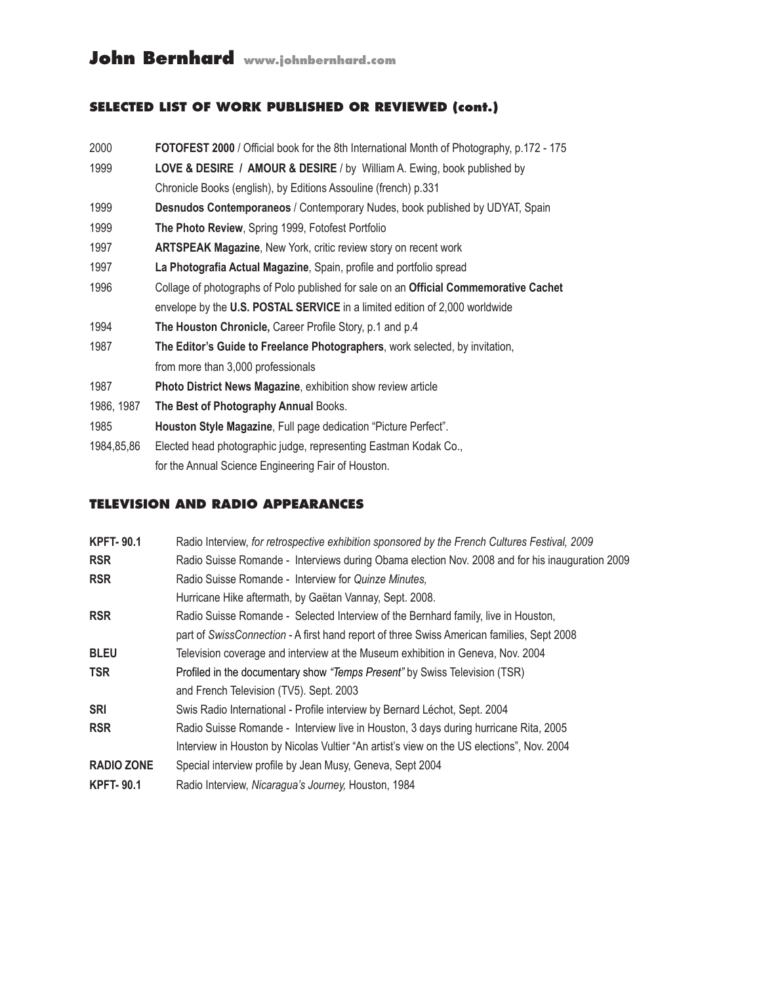### **SELECTED LIST OF WORK PUBLISHED OR REVIEWED (cont.)**

| 2000       | FOTOFEST 2000 / Official book for the 8th International Month of Photography, p.172 - 175 |
|------------|-------------------------------------------------------------------------------------------|
| 1999       | <b>LOVE &amp; DESIRE / AMOUR &amp; DESIRE / by William A. Ewing, book published by</b>    |
|            | Chronicle Books (english), by Editions Assouline (french) p.331                           |
| 1999       | <b>Desnudos Contemporaneos</b> / Contemporary Nudes, book published by UDYAT, Spain       |
| 1999       | The Photo Review, Spring 1999, Fotofest Portfolio                                         |
| 1997       | <b>ARTSPEAK Magazine, New York, critic review story on recent work</b>                    |
| 1997       | La Photografia Actual Magazine, Spain, profile and portfolio spread                       |
| 1996       | Collage of photographs of Polo published for sale on an Official Commemorative Cachet     |
|            | envelope by the U.S. POSTAL SERVICE in a limited edition of 2,000 worldwide               |
| 1994       | The Houston Chronicle, Career Profile Story, p.1 and p.4                                  |
| 1987       | The Editor's Guide to Freelance Photographers, work selected, by invitation,              |
|            | from more than 3,000 professionals                                                        |
| 1987       | <b>Photo District News Magazine, exhibition show review article</b>                       |
| 1986, 1987 | The Best of Photography Annual Books.                                                     |
| 1985       | Houston Style Magazine, Full page dedication "Picture Perfect".                           |
| 1984,85,86 | Elected head photographic judge, representing Eastman Kodak Co.,                          |
|            | for the Annual Science Engineering Fair of Houston.                                       |
|            |                                                                                           |

#### **Television and radio Appearances**

| <b>KPFT-90.1</b>  | Radio Interview, for retrospective exhibition sponsored by the French Cultures Festival, 2009   |
|-------------------|-------------------------------------------------------------------------------------------------|
| <b>RSR</b>        | Radio Suisse Romande - Interviews during Obama election Nov. 2008 and for his inauguration 2009 |
| <b>RSR</b>        | Radio Suisse Romande - Interview for Quinze Minutes,                                            |
|                   | Hurricane Hike aftermath, by Gaëtan Vannay, Sept. 2008.                                         |
| <b>RSR</b>        | Radio Suisse Romande - Selected Interview of the Bernhard family, live in Houston,              |
|                   | part of SwissConnection - A first hand report of three Swiss American families, Sept 2008       |
| <b>BLEU</b>       | Television coverage and interview at the Museum exhibition in Geneva, Nov. 2004                 |
| <b>TSR</b>        | Profiled in the documentary show "Temps Present" by Swiss Television (TSR)                      |
|                   | and French Television (TV5). Sept. 2003                                                         |
| <b>SRI</b>        | Swis Radio International - Profile interview by Bernard Léchot, Sept. 2004                      |
| <b>RSR</b>        | Radio Suisse Romande - Interview live in Houston, 3 days during hurricane Rita, 2005            |
|                   | Interview in Houston by Nicolas Vultier "An artist's view on the US elections", Nov. 2004       |
| <b>RADIO ZONE</b> | Special interview profile by Jean Musy, Geneva, Sept 2004                                       |
| <b>KPFT-90.1</b>  | Radio Interview, Nicaragua's Journey, Houston, 1984                                             |
|                   |                                                                                                 |